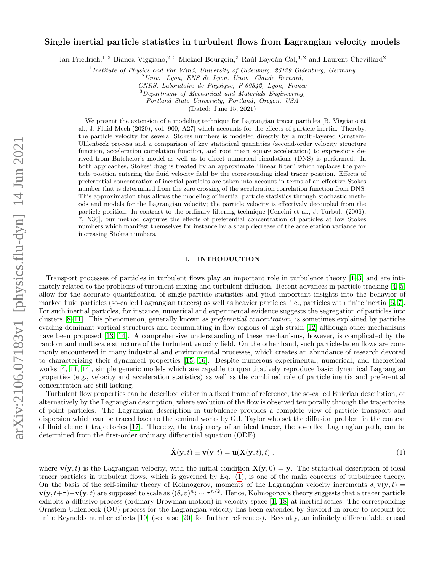# arXiv:2106.07183v1 [physics.flu-dyn] 14 Jun 2021 arXiv:2106.07183v1 [physics.flu-dyn] 14 Jun 2021

# Single inertial particle statistics in turbulent flows from Lagrangian velocity models

Jan Friedrich,<sup>1, 2</sup> Bianca Viggiano,<sup>2, 3</sup> Mickael Bourgoin,<sup>2</sup> Raúl Bayoán Cal,<sup>3, 2</sup> and Laurent Chevillard<sup>2</sup>

<sup>1</sup>Institute of Physics and For Wind, University of Oldenburg, 26129 Oldenburg, Germany

 $^{2}$ Univ. Lyon, ENS de Lyon, Univ. Claude Bernard,

CNRS, Laboratoire de Physique, F-69342, Lyon, France

<sup>3</sup>Department of Mechanical and Materials Engineering.

Portland State University, Portland, Oregon, USA

(Dated: June 15, 2021)

We present the extension of a modeling technique for Lagrangian tracer particles [B. Viggiano et al., J. Fluid Mech.(2020), vol. 900, A27] which accounts for the effects of particle inertia. Thereby, the particle velocity for several Stokes numbers is modeled directly by a multi-layered Ornstein-Uhlenbeck process and a comparison of key statistical quantities (second-order velocity structure function, acceleration correlation function, and root mean square acceleration) to expressions derived from Batchelor's model as well as to direct numerical simulations (DNS) is performed. In both approaches, Stokes' drag is treated by an approximate "linear filter" which replaces the particle position entering the fluid velocity field by the corresponding ideal tracer position. Effects of preferential concentration of inertial particles are taken into account in terms of an effective Stokes number that is determined from the zero crossing of the acceleration correlation function from DNS. This approximation thus allows the modeling of inertial particle statistics through stochastic methods and models for the Lagrangian velocity; the particle velocity is effectively decoupled from the particle position. In contrast to the ordinary filtering technique [Cencini et al., J. Turbul. (2006), 7, N36], our method captures the effects of preferential concentration of particles at low Stokes numbers which manifest themselves for instance by a sharp decrease of the acceleration variance for increasing Stokes numbers.

### I. INTRODUCTION

Transport processes of particles in turbulent flows play an important role in turbulence theory [\[1–](#page-12-0)[3\]](#page-12-1) and are intimately related to the problems of turbulent mixing and turbulent diffusion. Recent advances in particle tracking [\[4,](#page-12-2) [5\]](#page-12-3) allow for the accurate quantification of single-particle statistics and yield important insights into the behavior of marked fluid particles (so-called Lagrangian tracers) as well as heavier particles, i.e., particles with finite inertia [\[6,](#page-12-4) [7\]](#page-12-5). For such inertial particles, for instance, numerical and experimental evidence suggests the segregation of particles into clusters [\[8–](#page-12-6)[11\]](#page-12-7). This phenomenon, generally known as preferential concentration, is sometimes explained by particles evading dominant vortical structures and accumulating in flow regions of high strain [\[12\]](#page-12-8) although other mechanisms have been proposed [\[13,](#page-12-9) [14\]](#page-12-10). A comprehensive understanding of these mechanisms, however, is complicated by the random and multiscale structure of the turbulent velocity field. On the other hand, such particle-laden flows are commonly encountered in many industrial and environmental processes, which creates an abundance of research devoted to characterizing their dynamical properties [\[15,](#page-12-11) [16\]](#page-12-12). Despite numerous experimental, numerical, and theoretical works [\[4,](#page-12-2) [11,](#page-12-7) [14\]](#page-12-10), simple generic models which are capable to quantitatively reproduce basic dynamical Lagrangian properties (e.g., velocity and acceleration statistics) as well as the combined role of particle inertia and preferential concentration are still lacking.

Turbulent flow properties can be described either in a fixed frame of reference, the so-called Eulerian description, or alternatively by the Lagrangian description, where evolution of the flow is observed temporally through the trajectories of point particles. The Lagrangian description in turbulence provides a complete view of particle transport and dispersion which can be traced back to the seminal works by G.I. Taylor who set the diffusion problem in the context of fluid element trajectories [\[17\]](#page-12-13). Thereby, the trajectory of an ideal tracer, the so-called Lagrangian path, can be determined from the first-order ordinary differential equation (ODE)

<span id="page-0-0"></span>
$$
\dot{\mathbf{X}}(\mathbf{y},t) \equiv \mathbf{v}(\mathbf{y},t) = \mathbf{u}(\mathbf{X}(\mathbf{y},t),t) .
$$
 (1)

where  $\mathbf{v}(\mathbf{y},t)$  is the Lagrangian velocity, with the initial condition  $\mathbf{X}(\mathbf{y},0) = \mathbf{y}$ . The statistical description of ideal tracer particles in turbulent flows, which is governed by Eq. [\(1\)](#page-0-0), is one of the main concerns of turbulence theory. On the basis of the self-similar theory of Kolmogorov, moments of the Lagrangian velocity increments  $\delta_{\tau}v(y, t)$  =  $\mathbf{v}(\mathbf{y}, t+\tau) - \mathbf{v}(\mathbf{y}, t)$  are supposed to scale as  $\langle (\delta_\tau v)^n \rangle \sim \tau^{n/2}$ . Hence, Kolmogorov's theory suggests that a tracer particle exhibits a diffusive process (ordinary Brownian motion) in velocity space [\[1,](#page-12-0) [18\]](#page-12-14) at inertial scales. The corresponding Ornstein-Uhlenbeck (OU) process for the Lagrangian velocity has been extended by Sawford in order to account for finite Reynolds number effects [\[19\]](#page-12-15) (see also [\[20\]](#page-12-16) for further references). Recently, an infinitely differentiable causal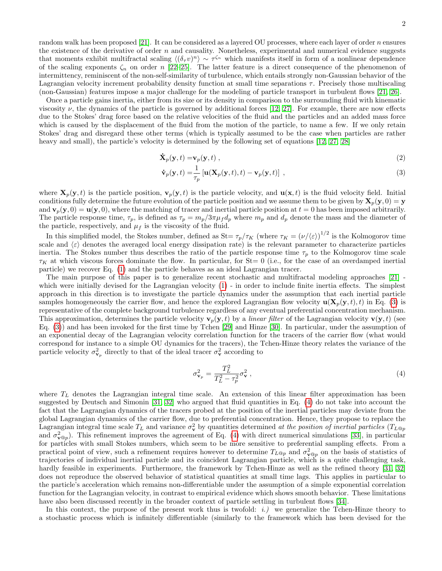<span id="page-1-2"></span><span id="page-1-0"></span>2

random walk has been proposed [\[21\]](#page-12-17). It can be considered as a layered OU processes, where each layer of order  $n$  ensures the existence of the derivative of order  $n$  and causality. Nonetheless, experimental and numerical evidence suggests that moments exhibit multifractal scaling  $\langle (\delta_\tau v)^n \rangle \sim \tau^{\zeta_n}$  which manifests itself in form of a nonlinear dependence of the scaling exponents  $\zeta_n$  on order n [\[22](#page-12-18)[–25\]](#page-12-19). The latter feature is a direct consequence of the phenomenon of intermittency, reminiscent of the non-self-similarity of turbulence, which entails strongly non-Gaussian behavior of the Lagrangian velocity increment probability density function at small time separations  $\tau$ . Precisely those multiscaling (non-Gaussian) features impose a major challenge for the modeling of particle transport in turbulent flows [\[21,](#page-12-17) [26\]](#page-12-20).

Once a particle gains inertia, either from its size or its density in comparison to the surrounding fluid with kinematic viscosity  $\nu$ , the dynamics of the particle is governed by additional forces [\[12,](#page-12-8) [27\]](#page-12-21). For example, there are now effects due to the Stokes' drag force based on the relative velocities of the fluid and the particles and an added mass force which is caused by the displacement of the fluid from the motion of the particle, to name a few. If we only retain Stokes' drag and disregard these other terms (which is typically assumed to be the case when particles are rather heavy and small), the particle's velocity is determined by the following set of equations [\[12,](#page-12-8) [27,](#page-12-21) [28\]](#page-12-22)

$$
\dot{\mathbf{X}}_p(\mathbf{y},t) = \mathbf{v}_p(\mathbf{y},t) \tag{2}
$$

$$
\dot{\mathbf{v}}_p(\mathbf{y},t) = \frac{1}{\tau_p} \left[ \mathbf{u}(\mathbf{X}_p(\mathbf{y},t),t) - \mathbf{v}_p(\mathbf{y},t) \right],
$$
\n(3)

where  $\mathbf{X}_p(\mathbf{y}, t)$  is the particle position,  $\mathbf{v}_p(\mathbf{y}, t)$  is the particle velocity, and  $\mathbf{u}(\mathbf{x}, t)$  is the fluid velocity field. Initial conditions fully determine the future evolution of the particle position and we assume them to be given by  $\mathbf{X}_p(\mathbf{y}, 0) = \mathbf{y}$ and  $\mathbf{v}_p(\mathbf{y},0) = \mathbf{u}(\mathbf{y},0)$ , where the matching of tracer and inertial particle position at  $t = 0$  has been imposed arbitrarily. The particle response time,  $\tau_p$ , is defined as  $\tau_p = m_p/3\pi\mu_f d_p$  where  $m_p$  and  $d_p$  denote the mass and the diameter of the particle, respectively, and  $\mu_f$  is the viscosity of the fluid.

In this simplified model, the Stokes number, defined as  $St = \tau_p/\tau_K$  (where  $\tau_K = (\nu/\langle \varepsilon \rangle)^{1/2}$  is the Kolmogorov time scale and  $\langle \varepsilon \rangle$  denotes the averaged local energy dissipation rate) is the relevant parameter to characterize particles inertia. The Stokes number thus describes the ratio of the particle response time  $\tau_p$  to the Kolmogorov time scale  $\tau_K$  at which viscous forces dominate the flow. In particular, for St= 0 (i.e., for the case of an overdamped inertial particle) we recover Eq. [\(1\)](#page-0-0) and the particle behaves as an ideal Lagrangian tracer.

The main purpose of this paper is to generalize recent stochastic and multifractal modeling approaches [\[21\]](#page-12-17) which were initially devised for the Lagrangian velocity  $(1)$  - in order to include finite inertia effects. The simplest approach in this direction is to investigate the particle dynamics under the assumption that each inertial particle samples homogeneously the carrier flow, and hence the explored Lagrangian flow velocity  $\mathbf{u}(\mathbf{X}_p(\mathbf{y}, t), t)$  in Eq. [\(3\)](#page-1-0) is representative of the complete background turbulence regardless of any eventual preferential concentration mechanism. This approximation, determines the particle velocity  $\mathbf{v}_p(\mathbf{y}, t)$  by a *linear filter* of the Lagrangian velocity  $\mathbf{v}(\mathbf{y}, t)$  (see Eq. [\(3\)](#page-1-0)) and has been invoked for the first time by Tchen [\[29\]](#page-12-23) and Hinze [\[30\]](#page-12-24). In particular, under the assumption of an exponential decay of the Lagrangian velocity correlation function for the tracers of the carrier flow (what would correspond for instance to a simple OU dynamics for the tracers), the Tchen-Hinze theory relates the variance of the particle velocity  $\sigma_{\mathbf{v}_p}^2$  directly to that of the ideal tracer  $\sigma_{\mathbf{v}}^2$  according to

<span id="page-1-1"></span>
$$
\sigma_{\mathbf{v}_p}^2 = \frac{T_L^2}{T_L^2 - \tau_p^2} \sigma_{\mathbf{v}}^2 \,, \tag{4}
$$

where  $T_L$  denotes the Lagrangian integral time scale. An extension of this linear filter approximation has been suggested by Deutsch and Simonin [\[31,](#page-12-25) [32\]](#page-12-26) who argued that fluid quantities in Eq. [\(4\)](#page-1-1) do not take into account the fact that the Lagrangian dynamics of the tracers probed at the position of the inertial particles may deviate from the global Lagrangian dynamics of the carrier flow, due to preferential concentration. Hence, they propose to replace the Lagrangian integral time scale  $T_L$  and variance  $\sigma_v^2$  by quantities determined at the position of inertial particles ( $T_{L@p}$ and  $\sigma_{\mathbf{v}\otimes p}^2$ ). This refinement improves the agreement of Eq. [\(4\)](#page-1-1) with direct numerical simulations [\[33\]](#page-12-27), in particular for particles with small Stokes numbers, which seem to be more sensitive to preferential sampling effects. From a practical point of view, such a refinement requires however to determine  $T_{L@p}$  and  $\sigma_{\mathbf{v}@p}^2$  on the basis of statistics of trajectories of individual inertial particle and its coincident Lagrangian particle, which is a quite challenging task, hardly feasible in experiments. Furthermore, the framework by Tchen-Hinze as well as the refined theory [\[31,](#page-12-25) [32\]](#page-12-26) does not reproduce the observed behavior of statistical quantities at small time lags. This applies in particular to the particle's acceleration which remains non-differentiable under the assumption of a simple exponential correlation function for the Lagrangian velocity, in contrast to empirical evidence which shows smooth behavior. These limitations have also been discussed recently in the broader context of particle settling in turbulent flows [\[34\]](#page-12-28).

In this context, the purpose of the present work thus is twofold: *i.*) we generalize the Tchen-Hinze theory to a stochastic process which is infinitely differentiable (similarly to the framework which has been devised for the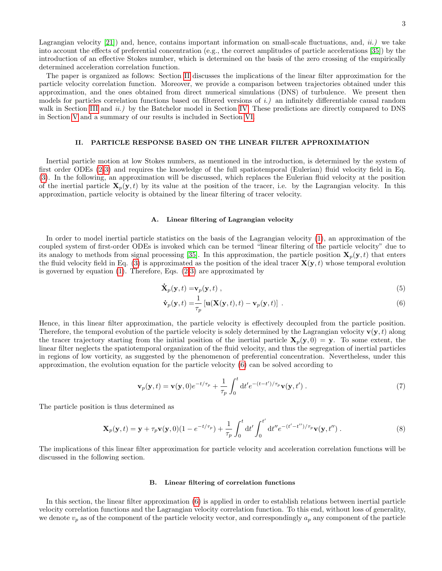Lagrangian velocity  $[21]$  and, hence, contains important information on small-scale fluctuations, and,  $ii.$ ) we take into account the effects of preferential concentration (e.g., the correct amplitudes of particle accelerations [\[35\]](#page-12-29)) by the introduction of an effective Stokes number, which is determined on the basis of the zero crossing of the empirically determined acceleration correlation function.

The paper is organized as follows: Section [II](#page-2-0) discusses the implications of the linear filter approximation for the particle velocity correlation function. Moreover, we provide a comparison between trajectories obtained under this approximation, and the ones obtained from direct numerical simulations (DNS) of turbulence. We present then models for particles correlation functions based on filtered versions of i.) an infinitely differentiable causal random walk in Section [III](#page-5-0) and *ii.*) by the Batchelor model in Section [IV.](#page-8-0) These predictions are directly compared to DNS in Section [V](#page-8-1) and a summary of our results is included in Section [VI.](#page-11-0)

# <span id="page-2-0"></span>II. PARTICLE RESPONSE BASED ON THE LINEAR FILTER APPROXIMATION

Inertial particle motion at low Stokes numbers, as mentioned in the introduction, is determined by the system of first order ODEs [\(2-](#page-1-2)[3\)](#page-1-0) and requires the knowledge of the full spatiotemporal (Eulerian) fluid velocity field in Eq. [\(3\)](#page-1-0). In the following, an approximation will be discussed, which replaces the Eulerian fluid velocity at the position of the inertial particle  $X_p(y, t)$  by its value at the position of the tracer, i.e. by the Lagrangian velocity. In this approximation, particle velocity is obtained by the linear filtering of tracer velocity.

### A. Linear filtering of Lagrangian velocity

In order to model inertial particle statistics on the basis of the Lagrangian velocity [\(1\)](#page-0-0), an approximation of the coupled system of first-order ODEs is invoked which can be termed "linear filtering of the particle velocity" due to its analogy to methods from signal processing [\[35\]](#page-12-29). In this approximation, the particle position  $\mathbf{X}_p(\mathbf{y}, t)$  that enters the fluid velocity field in Eq. [\(3\)](#page-1-0) is approximated as the position of the ideal tracer  $\mathbf{X}(\mathbf{y},t)$  whose temporal evolution is governed by equation [\(1\)](#page-0-0). Therefore, Eqs. [\(2-](#page-1-2)[3\)](#page-1-0) are approximated by

$$
\dot{\mathbf{X}}_p(\mathbf{y},t) = \mathbf{v}_p(\mathbf{y},t) \tag{5}
$$

<span id="page-2-2"></span><span id="page-2-1"></span>
$$
\dot{\mathbf{v}}_p(\mathbf{y},t) = \frac{1}{\tau_p} \left[ \mathbf{u}(\mathbf{X}(\mathbf{y},t),t) - \mathbf{v}_p(\mathbf{y},t) \right].
$$
\n(6)

Hence, in this linear filter approximation, the particle velocity is effectively decoupled from the particle position. Therefore, the temporal evolution of the particle velocity is solely determined by the Lagrangian velocity  $\mathbf{v}(\mathbf{y},t)$  along the tracer trajectory starting from the initial position of the inertial particle  $\mathbf{X}_p(\mathbf{y}, 0) = \mathbf{y}$ . To some extent, the linear filter neglects the spatiotemporal organization of the fluid velocity, and thus the segregation of inertial particles in regions of low vorticity, as suggested by the phenomenon of preferential concentration. Nevertheless, under this approximation, the evolution equation for the particle velocity [\(6\)](#page-2-1) can be solved according to

$$
\mathbf{v}_p(\mathbf{y},t) = \mathbf{v}(\mathbf{y},0)e^{-t/\tau_p} + \frac{1}{\tau_p} \int_0^t dt' e^{-(t-t')/\tau_p} \mathbf{v}(\mathbf{y},t') . \tag{7}
$$

The particle position is thus determined as

$$
\mathbf{X}_p(\mathbf{y},t) = \mathbf{y} + \tau_p \mathbf{v}(\mathbf{y},0)(1 - e^{-t/\tau_p}) + \frac{1}{\tau_p} \int_0^t dt' \int_0^{t'} dt'' e^{-(t'-t'')/\tau_p} \mathbf{v}(\mathbf{y},t'') . \tag{8}
$$

The implications of this linear filter approximation for particle velocity and acceleration correlation functions will be discussed in the following section.

### B. Linear filtering of correlation functions

In this section, the linear filter approximation [\(6\)](#page-2-1) is applied in order to establish relations between inertial particle velocity correlation functions and the Lagrangian velocity correlation function. To this end, without loss of generality, we denote  $v_p$  as of the component of the particle velocity vector, and correspondingly  $a_p$  any component of the particle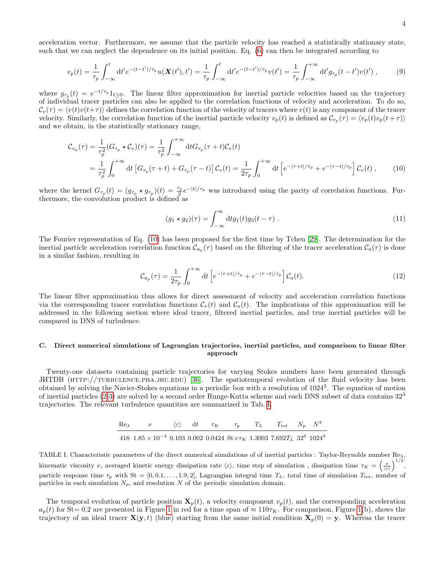acceleration vector. Furthermore, we assume that the particle velocity has reached a statistically stationary state, such that we can neglect the dependence on its initial position. Eq. [\(6\)](#page-2-1) can then be integrated according to

$$
v_p(t) = \frac{1}{\tau_p} \int_{-\infty}^t dt' e^{-(t-t')/\tau_p} u(\mathbf{X}(t'), t') = \frac{1}{\tau_p} \int_{-\infty}^t dt' e^{-(t-t')/\tau_p} v(t') = \frac{1}{\tau_p} \int_{-\infty}^{+\infty} dt' g_{\tau_p}(t - t') v(t') ,\qquad (9)
$$

where  $g_{\tau_p}(t) = e^{-t/\tau_p} 1_{t \geq 0}$ . The linear filter approximation for inertial particle velocities based on the trajectory of individual tracer particles can also be applied to the correlation functions of velocity and acceleration. To do so,  $\mathcal{C}_v(\tau) = \langle v(t)v(t+\tau) \rangle$  defines the correlation function of the velocity of tracers where  $v(t)$  is any component of the tracer velocity. Similarly, the correlation function of the inertial particle velocity  $v_p(t)$  is defined as  $\mathcal{C}_{v_p}(\tau) = \langle v_p(t)v_p(t+\tau) \rangle$ and we obtain, in the statistically stationary range,

$$
\mathcal{C}_{v_p}(\tau) = \frac{1}{\tau_p^2} (G_{\tau_p} \star \mathcal{C}_v)(\tau) = \frac{1}{\tau_p^2} \int_{-\infty}^{+\infty} dt G_{\tau_p}(\tau + t) \mathcal{C}_v(t)
$$
  
\n
$$
= \frac{1}{\tau_p^2} \int_0^{+\infty} dt \left[ G_{\tau_p}(\tau + t) + G_{\tau_p}(\tau - t) \right] \mathcal{C}_v(t) = \frac{1}{2\tau_p} \int_0^{+\infty} dt \left[ e^{-|\tau + t|/\tau_p} + e^{-|\tau - t|/\tau_p} \right] \mathcal{C}_v(t) , \qquad (10)
$$

where the kernel  $G_{\tau_p}(t) = (g_{\tau_p} \star g_{\tau_p})(t) = \frac{\tau_p}{2} e^{-|t|/\tau_p}$  was introduced using the parity of correlation functions. Furthermore, the convolution product is defined as

<span id="page-3-3"></span><span id="page-3-0"></span>
$$
(g_1 * g_2)(\tau) = \int_{-\infty}^{\infty} \mathrm{d}t g_1(t) g_2(t - \tau) \tag{11}
$$

The Fourier representation of Eq. [\(10\)](#page-3-0) has been proposed for the first time by Tchen [\[29\]](#page-12-23). The determination for the inertial particle acceleration correlation function  $\mathcal{C}_{a_p}(\tau)$  based on the filtering of the tracer acceleration  $\mathcal{C}_a(\tau)$  is done in a similar fashion, resulting in

<span id="page-3-2"></span>
$$
\mathcal{C}_{a_p}(\tau) = \frac{1}{2\tau_p} \int_0^{+\infty} dt \left[ e^{-|\tau + t|/\tau_p} + e^{-|\tau - t|/\tau_p} \right] \mathcal{C}_a(t). \tag{12}
$$

The linear filter approximation thus allows for direct assessment of velocity and acceleration correlation functions via the corresponding tracer correlation functions  $C_v(t)$  and  $C_a(t)$ . The implications of this approximation will be addressed in the following section where ideal tracer, filtered inertial particles, and true inertial particles will be compared in DNS of turbulence.

### <span id="page-3-4"></span>C. Direct numerical simulations of Lagrangian trajectories, inertial particles, and comparison to linear filter approach

Twenty-one datasets containing particle trajectories for varying Stokes numbers have been generated through JHTDB (HTTP://TURBULENCE.PHA.JHU.EDU) [\[36\]](#page-13-0). The spatiotemporal evolution of the fluid velocity has been obtained by solving the Navier-Stokes equations in a periodic box with a resolution of 1024<sup>3</sup>. The equation of motion of inertial particles [\(2-](#page-1-2)[3\)](#page-1-0) are solved by a second order Runge-Kutta scheme and each DNS subset of data contains 32<sup>3</sup> trajectories. The relevant turbulence quantities are summarized in Tab. [I.](#page-3-1)

$$
\frac{\text{Re}\lambda}{418 \cdot 1.85 \times 10^{-4} \cdot 0.103 \cdot 0.002 \cdot 0.0424 \cdot 5t \times \tau_K} \frac{\tau_p}{1.3003 \cdot 7.692 T_L} \frac{T_{tot}}{32^3 \cdot 1024^3}
$$

<span id="page-3-1"></span>TABLE I. Characteristic parameters of the direct numerical simulations of of inertial particles : Taylor-Reynolds number  $\text{Re}\lambda$ , kinematic viscosity  $\nu$ , averaged kinetic energy dissipation rate  $\langle \varepsilon \rangle$ , time step of simulation, dissipation time  $\tau_K = \left(\frac{\nu}{\langle \varepsilon \rangle}\right)^{1/2}$ , particle response time  $\tau_p$  with St = [0, 0.1, ..., 1.9, 2], Lagrangian integral time  $T_L$ , total time of simulation  $T_{tot}$ , number of particles in each simulation  $N_p$ , and resolution N of the periodic simulation domain.

The temporal evolution of particle position  $\mathbf{X}_p(t)$ , a velocity component  $v_p(t)$ , and the corresponding acceleration  $a_p(t)$  for St= 0.2 are presented in Figure [1](#page-4-0) in red for a time span of  $\approx 110\tau_K$ . For comparison, Figure [1\(](#page-4-0)b), shows the trajectory of an ideal tracer  $\mathbf{X}(\mathbf{y},t)$  (blue) starting from the same initial condition  $\mathbf{X}_p(0) = \mathbf{y}$ . Whereas the tracer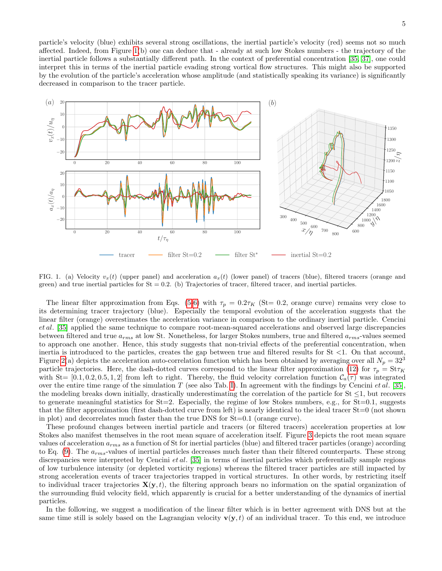particle's velocity (blue) exhibits several strong oscillations, the inertial particle's velocity (red) seems not so much affected. Indeed, from Figure [1\(](#page-4-0)b) one can deduce that - already at such low Stokes numbers - the trajectory of the inertial particle follows a substantially different path. In the context of preferential concentration [\[35,](#page-12-29) [37\]](#page-13-1), one could interpret this in terms of the inertial particle evading strong vortical flow structures. This might also be supported by the evolution of the particle's acceleration whose amplitude (and statistically speaking its variance) is significantly decreased in comparison to the tracer particle.



<span id="page-4-0"></span>FIG. 1. (a) Velocity  $v_x(t)$  (upper panel) and acceleration  $a_x(t)$  (lower panel) of tracers (blue), filtered tracers (orange and green) and true inertial particles for  $St = 0.2$ . (b) Trajectories of tracer, filtered tracer, and inertial particles.

The linear filter approximation from Eqs. [\(5-](#page-2-2)[6\)](#page-2-1) with  $\tau_p = 0.2\tau_K$  (St= 0.2, orange curve) remains very close to its determining tracer trajectory (blue). Especially the temporal evolution of the acceleration suggests that the linear filter (orange) overestimates the acceleration variance in comparison to the ordinary inertial particle. Cencini et al. [\[35\]](#page-12-29) applied the same technique to compare root-mean-squared accelerations and observed large discrepancies between filtered and true  $a_{rms}$  at low St. Nonetheless, for larger Stokes numbers, true and filtered  $a_{rms}$ -values seemed to approach one another. Hence, this study suggests that non-trivial effects of the preferential concentration, when inertia is introduced to the particles, creates the gap between true and filtered results for  $St < 1$ . On that account, Figure [2\(](#page-5-1)a) depicts the acceleration auto-correlation function which has been obtained by averaging over all  $N_p = 32<sup>3</sup>$ particle trajectories. Here, the dash-dotted curves correspond to the linear filter approximation [\(12\)](#page-3-2) for  $\tau_p = \text{St } \tau_K$ with St=  $[0.1, 0.2, 0.5, 1, 2]$  from left to right. Thereby, the fluid velocity correlation function  $C_a(\tau)$  was integrated over the entire time range of the simulation T (see also Tab. [I\)](#page-3-1). In agreement with the findings by Cencini *et al.* [\[35\]](#page-12-29), the modeling breaks down initially, drastically underestimating the correlation of the particle for St ≤1, but recovers to generate meaningful statistics for  $St=2$ . Especially, the regime of low Stokes numbers, e.g., for  $St=0.1$ , suggests that the filter approximation (first dash-dotted curve from left) is nearly identical to the ideal tracer St=0 (not shown in plot) and decorrelates much faster than the true DNS for St=0.1 (orange curve).

These profound changes between inertial particle and tracers (or filtered tracers) acceleration properties at low Stokes also manifest themselves in the root mean square of acceleration itself. Figure [3](#page-6-0) depicts the root mean square values of acceleration  $a_{rms}$  as a function of St for inertial particles (blue) and filtered tracer particles (orange) according to Eq.  $(9)$ . The  $a_{rms}$ -values of inertial particles decreases much faster than their filtered counterparts. These strong discrepancies were interpreted by Cencini et al. [\[35\]](#page-12-29) in terms of inertial particles which preferentially sample regions of low turbulence intensity (or depleted vorticity regions) whereas the filtered tracer particles are still impacted by strong acceleration events of tracer trajectories trapped in vortical structures. In other words, by restricting itself to individual tracer trajectories  $\mathbf{X}(\mathbf{y},t)$ , the filtering approach bears no information on the spatial organization of the surrounding fluid velocity field, which apparently is crucial for a better understanding of the dynamics of inertial particles.

In the following, we suggest a modification of the linear filter which is in better agreement with DNS but at the same time still is solely based on the Lagrangian velocity  $\mathbf{v}(\mathbf{y},t)$  of an individual tracer. To this end, we introduce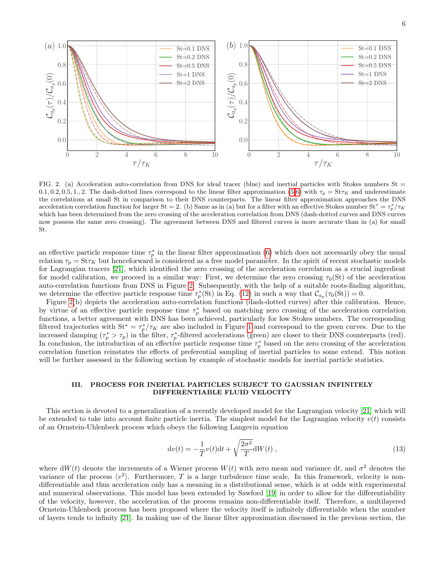

<span id="page-5-1"></span>FIG. 2. (a) Acceleration auto-correlation from DNS for ideal tracer (blue) and inertial particles with Stokes numbers St  $=$ 0.1, 0.2, 0.5, 1., 2. The dash-dotted lines correspond to the linear filter approximation [\(5-](#page-2-2)[6\)](#page-2-1) with  $\tau_p = \text{St } \tau_K$  and underestimate the correlations at small St in comparison to their DNS counterparts. The linear filter approximation approaches the DNS acceleration correlation function for larger St = 2. (b) Same as in (a) but for a filter with an effective Stokes number St<sup>\*</sup> =  $\tau_p^*/\tau_K$ which has been determined from the zero crossing of the acceleration correlation from DNS (dash-dotted curves and DNS curves now possess the same zero crossing). The agreement between DNS and filtered curves is more accurate than in (a) for small St.

an effective particle response time  $\tau_p^*$  in the linear filter approximation [\(6\)](#page-2-1) which does not necessarily obey the usual relation  $\tau_p = \text{St} \tau_K$  but henceforward is considered as a free model parameter. In the spirit of recent stochastic models for Lagrangian tracers [\[21\]](#page-12-17), which identified the zero crossing of the acceleration correlation as a crucial ingredient for model calibration, we proceed in a similar way: First, we determine the zero crossing  $\tau_0(\text{St})$  of the acceleration auto-correlation functions from DNS in Figure [2.](#page-5-1) Subsequently, with the help of a suitable roots-finding algorithm, we determine the effective particle response time  $\tau_p^*(\text{St})$  in Eq. [\(12\)](#page-3-2) in such a way that  $\mathcal{C}_{a_p}(\tau_0(\text{St})) = 0$ .

Figure [2\(](#page-5-1)b) depicts the acceleration auto-correlation functions (dash-dotted curves) after this calibration. Hence, by virtue of an effective particle response time  $\tau_p^*$  based on matching zero crossing of the acceleration correlation functions, a better agreement with DNS has been achieved, particularly for low Stokes numbers. The corresponding filtered trajectories with  $St^* = \tau_p^* / \tau_K$  are also included in Figure [1](#page-4-0) and correspond to the green curves. Due to the increased damping  $(\tau_p^* > \tau_p)$  in the filter,  $\tau_p^*$ -filtered accelerations (green) are closer to their DNS counterparts (red). In conclusion, the introduction of an effective particle response time  $\tau_p^*$  based on the zero crossing of the acceleration correlation function reinstates the effects of preferential sampling of inertial particles to some extend. This notion will be further assessed in the following section by example of stochastic models for inertial particle statistics.

# <span id="page-5-0"></span>III. PROCESS FOR INERTIAL PARTICLES SUBJECT TO GAUSSIAN INFINITELY DIFFERENTIABLE FLUID VELOCITY

This section is devoted to a generalization of a recently developed model for the Lagrangian velocity [\[21\]](#page-12-17) which will be extended to take into account finite particle inertia. The simplest model for the Lagrangian velocity  $v(t)$  consists of an Ornstein-Uhlenbeck process which obeys the following Langevin equation

$$
dv(t) = -\frac{1}{T}v(t)dt + \sqrt{\frac{2\sigma^2}{T}}dW(t) ,
$$
\n(13)

where  $dW(t)$  denote the increments of a Wiener process  $W(t)$  with zero mean and variance dt, and  $\sigma^2$  denotes the variance of the process  $\langle v^2 \rangle$ . Furthermore, T is a large turbulence time scale. In this framework, velocity is nondifferentiable and thus acceleration only has a meaning in a distributional sense, which is at odds with experimental and numerical observations. This model has been extended by Sawford [\[19\]](#page-12-15) in order to allow for the differentiability of the velocity, however, the acceleration of the process remains non-differentiable itself. Therefore, a multilayered Ornstein-Uhlenbeck process has been proposed where the velocity itself is infinitely differentiable when the number of layers tends to infinity [\[21\]](#page-12-17). In making use of the linear filter approximation discussed in the previous section, the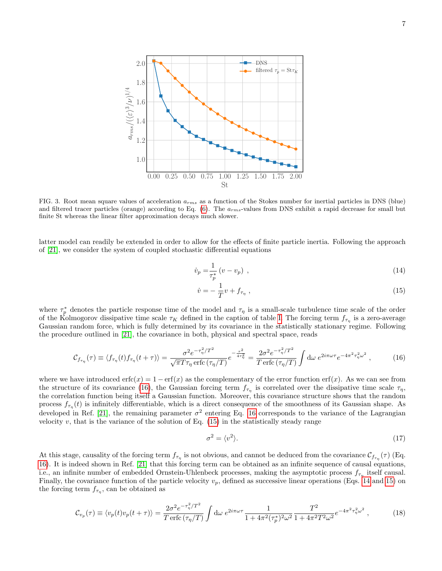

<span id="page-6-0"></span>FIG. 3. Root mean square values of acceleration  $a_{rms}$  as a function of the Stokes number for inertial particles in DNS (blue) and filtered tracer particles (orange) according to Eq.  $(6)$ . The  $a_{rms}$ -values from DNS exhibit a rapid decrease for small but finite St whereas the linear filter approximation decays much slower.

latter model can readily be extended in order to allow for the effects of finite particle inertia. Following the approach of [\[21\]](#page-12-17), we consider the system of coupled stochastic differential equations

$$
\dot{v}_p = \frac{1}{\tau_p^*} \left( v - v_p \right) , \qquad (14)
$$

<span id="page-6-3"></span><span id="page-6-2"></span>
$$
\dot{v} = -\frac{1}{T}v + f_{\tau_{\eta}}\,,\tag{15}
$$

where  $\tau_p^*$  denotes the particle response time of the model and  $\tau_\eta$  is a small-scale turbulence time scale of the order of the Kolmogorov dissipative time scale  $\tau_K$  defined in the caption of table [I.](#page-3-1) The forcing term  $f_{\tau_\eta}$  is a zero-average Gaussian random force, which is fully determined by its covariance in the statistically stationary regime. Following the procedure outlined in [\[21\]](#page-12-17), the covariance in both, physical and spectral space, reads

$$
\mathcal{C}_{f_{\tau_{\eta}}}(\tau) \equiv \langle f_{\tau_{\eta}}(t) f_{\tau_{\eta}}(t+\tau) \rangle = \frac{\sigma^2 e^{-\tau_{\eta}^2/T^2}}{\sqrt{\pi} T \tau_{\eta} \operatorname{erfc}(\tau_{\eta}/T)} e^{-\frac{\tau^2}{4\tau_{\eta}^2}} = \frac{2\sigma^2 e^{-\tau_{\eta}^2/T^2}}{T \operatorname{erfc}(\tau_{\eta}/T)} \int \mathrm{d}\omega \ e^{2i\pi \omega \tau} e^{-4\pi^2 \tau_{\eta}^2 \omega^2} \,, \tag{16}
$$

where we have introduced  $erfc(x) = 1 - erf(x)$  as the complementary of the error function  $erf(x)$ . As we can see from the structure of its covariance [\(16\)](#page-6-1), the Gaussian forcing term  $f_{\tau_n}$  is correlated over the dissipative time scale  $\tau_n$ , the correlation function being itself a Gaussian function. Moreover, this covariance structure shows that the random process  $f_{\tau_n}(t)$  is infinitely differentiable, which is a direct consequence of the smoothness of its Gaussian shape. As developed in Ref. [\[21\]](#page-12-17), the remaining parameter  $\sigma^2$  entering Eq. [16](#page-6-1) corresponds to the variance of the Lagrangian velocity  $v$ , that is the variance of the solution of Eq.  $(15)$  in the statistically steady range

<span id="page-6-1"></span>
$$
\sigma^2 = \langle v^2 \rangle. \tag{17}
$$

At this stage, causality of the forcing term  $f_{\tau_{\eta}}$  is not obvious, and cannot be deduced from the covariance  $C_{f_{\tau_{\eta}}}(\tau)$  (Eq. [16\)](#page-6-1). It is indeed shown in Ref. [\[21\]](#page-12-17) that this forcing term can be obtained as an infinite sequence of causal equations, i.e., an infinite number of embedded Ornstein-Uhlenbeck processes, making the asymptotic process  $f_{\tau_{\eta}}$  itself causal. Finally, the covariance function of the particle velocity  $v_p$ , defined as successive linear operations (Eqs. [14](#page-6-3) and [15\)](#page-6-2) on the forcing term  $f_{\tau_{\eta}}$ , can be obtained as

$$
\mathcal{C}_{v_p}(\tau) \equiv \langle v_p(t)v_p(t+\tau) \rangle = \frac{2\sigma^2 e^{-\tau_\eta^2/T^2}}{T \operatorname{erfc}(\tau_\eta/T)} \int \mathrm{d}\omega \ e^{2i\pi\omega\tau} \frac{1}{1 + 4\pi^2 (\tau_p^*)^2 \omega^2} \frac{T^2}{1 + 4\pi^2 T^2 \omega^2} e^{-4\pi^2 \tau_\eta^2 \omega^2} , \tag{18}
$$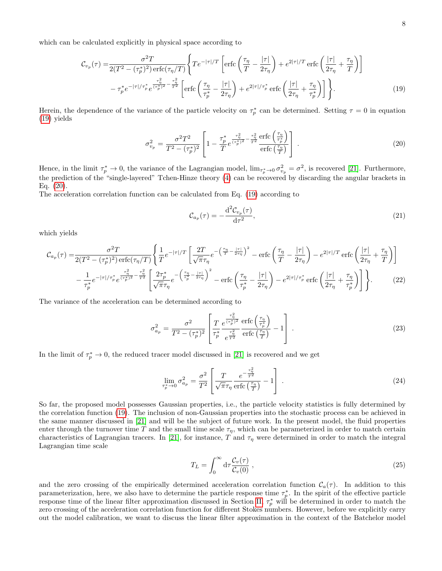which can be calculated explicitly in physical space according to

$$
\mathcal{C}_{v_p}(\tau) = \frac{\sigma^2 T}{2(T^2 - (\tau_p^*)^2) \operatorname{erfc}(\tau_\eta/T)} \left\{ T e^{-|\tau|/T} \left[ \operatorname{erfc}\left(\frac{\tau_\eta}{T} - \frac{|\tau|}{2\tau_\eta}\right) + e^{2|\tau|/T} \operatorname{erfc}\left(\frac{|\tau|}{2\tau_\eta} + \frac{\tau_\eta}{T}\right) \right] \right\}
$$

$$
- \tau_p^* e^{-|\tau|/\tau_p^*} e^{\frac{\tau_\eta^2}{(\tau_p^*)^2} - \frac{\tau_\eta^2}{T^2}} \left[ \operatorname{erfc}\left(\frac{\tau_\eta}{\tau_p^*} - \frac{|\tau|}{2\tau_\eta}\right) + e^{2|\tau|/\tau_p^*} \operatorname{erfc}\left(\frac{|\tau|}{2\tau_\eta} + \frac{\tau_\eta}{\tau_p^*}\right) \right] \right\}. \tag{19}
$$

Herein, the dependence of the variance of the particle velocity on  $\tau_p^*$  can be determined. Setting  $\tau = 0$  in equation [\(19\)](#page-7-0) yields

<span id="page-7-1"></span>
$$
\sigma_{v_p}^2 = \frac{\sigma^2 T^2}{T^2 - (\tau_p^*)^2} \left[ 1 - \frac{\tau_p^*}{T} e^{\frac{\tau_\eta^2}{(\tau_p^*)^2} - \frac{\tau_\eta^2}{T^2}} \frac{\text{erfc}\left(\frac{\tau_\eta}{\tau_p^*}\right)}{\text{erfc}\left(\frac{\tau_\eta}{T}\right)} \right].\tag{20}
$$

Hence, in the limit  $\tau_p^* \to 0$ , the variance of the Lagrangian model,  $\lim_{\tau_p^* \to 0} \sigma_{v_p}^2 = \sigma^2$ , is recovered [\[21\]](#page-12-17). Furthermore, the prediction of the "single-layered" Tchen-Hinze theory [\(4\)](#page-1-1) can be recovered by discarding the angular brackets in Eq. [\(20\)](#page-7-1).

The acceleration correlation function can be calculated from Eq. [\(19\)](#page-7-0) according to

<span id="page-7-3"></span><span id="page-7-0"></span>
$$
\mathcal{C}_{a_p}(\tau) = -\frac{\mathrm{d}^2 \mathcal{C}_{v_p}(\tau)}{\mathrm{d}\tau^2},\tag{21}
$$

which yields

$$
\mathcal{C}_{a_p}(\tau) = \frac{\sigma^2 T}{2(T^2 - (\tau_p^*)^2) \operatorname{erfc}(\tau_\eta/T)} \left\{ \frac{1}{T} e^{-|\tau|/T} \left[ \frac{2T}{\sqrt{\pi} \tau_\eta} e^{-\left(\frac{\tau_\eta}{T} - \frac{|\tau|}{2\tau_\eta}\right)^2} - \operatorname{erfc}\left(\frac{\tau_\eta}{T} - \frac{|\tau|}{2\tau_\eta}\right) - e^{2|\tau|/T} \operatorname{erfc}\left(\frac{|\tau|}{2\tau_\eta} + \frac{\tau_\eta}{T}\right) \right] \right\}
$$

$$
- \frac{1}{\tau_p^*} e^{-|\tau|/\tau_p^*} e^{\frac{\tau_\eta^2}{(\tau_p^*)^2} - \frac{\tau_\eta^2}{T^2}} \left[ \frac{2\tau_p^*}{\sqrt{\pi} \tau_\eta} e^{-\left(\frac{\tau_\eta}{\tau_p^*} - \frac{|\tau|}{2\tau_\eta}\right)^2} - \operatorname{erfc}\left(\frac{\tau_\eta}{\tau_p^*} - \frac{|\tau|}{2\tau_\eta}\right) - e^{2|\tau|/\tau_p^*} \operatorname{erfc}\left(\frac{|\tau|}{2\tau_\eta} + \frac{\tau_\eta}{\tau_p^*}\right) \right\}.
$$
(22)

The variance of the acceleration can be determined according to

$$
\sigma_{a_p}^2 = \frac{\sigma^2}{T^2 - (\tau_p^*)^2} \left[ \frac{T}{\tau_p^*} \frac{e^{\frac{\tau_\eta^2}{(\tau_p^*)^2}}}{e^{\frac{\tau_\eta^2}{T^2}}} \frac{\text{erfc}\left(\frac{\tau_\eta}{\tau_p^*}\right)}{\text{erfc}\left(\frac{\tau_\eta}{T}\right)} - 1 \right]. \tag{23}
$$

In the limit of  $\tau_p^* \to 0$ , the reduced tracer model discussed in [\[21\]](#page-12-17) is recovered and we get

$$
\lim_{\tau_p^* \to 0} \sigma_{a_p}^2 = \frac{\sigma^2}{T^2} \left[ \frac{T}{\sqrt{\pi} \tau_\eta} \frac{e^{-\frac{\tau_\eta^2}{T^2}}}{\text{erfc}\left(\frac{\tau_\eta}{T}\right)} - 1 \right]. \tag{24}
$$

So far, the proposed model possesses Gaussian properties, i.e., the particle velocity statistics is fully determined by the correlation function [\(19\)](#page-7-0). The inclusion of non-Gaussian properties into the stochastic process can be achieved in the same manner discussed in [\[21\]](#page-12-17) and will be the subject of future work. In the present model, the fluid properties enter through the turnover time T and the small time scale  $\tau_{\eta}$ , which can be parameterized in order to match certain characteristics of Lagrangian tracers. In [\[21\]](#page-12-17), for instance, T and  $\tau<sub>\eta</sub>$  were determined in order to match the integral Lagrangian time scale

<span id="page-7-2"></span>
$$
T_L = \int_0^\infty \mathrm{d}\tau \frac{\mathcal{C}_v(\tau)}{\mathcal{C}_v(0)}\,,\tag{25}
$$

and the zero crossing of the empirically determined acceleration correlation function  $C_a(\tau)$ . In addition to this parameterization, here, we also have to determine the particle response time  $\tau_p^*$ . In the spirit of the effective particle response time of the linear filter approximation discussed in Section [II,](#page-2-0)  $\tau_p^*$  will be determined in order to match the zero crossing of the acceleration correlation function for different Stokes numbers. However, before we explicitly carry out the model calibration, we want to discuss the linear filter approximation in the context of the Batchelor model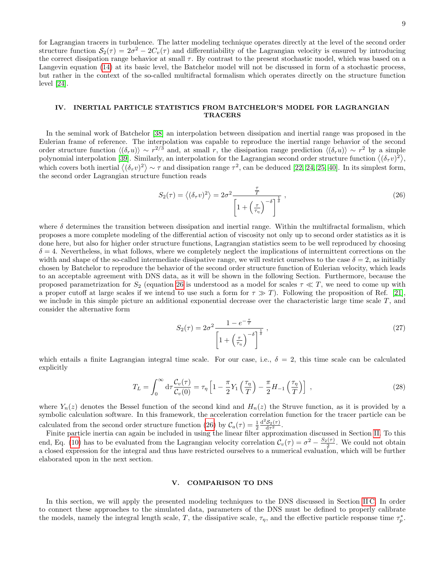9

for Lagrangian tracers in turbulence. The latter modeling technique operates directly at the level of the second order structure function  $S_2(\tau) = 2\sigma^2 - 2C_v(\tau)$  and differentiability of the Lagrangian velocity is ensured by introducing the correct dissipation range behavior at small  $\tau$ . By contrast to the present stochastic model, which was based on a Langevin equation [\(14\)](#page-6-3) at its basic level, the Batchelor model will not be discussed in form of a stochastic process, but rather in the context of the so-called multifractal formalism which operates directly on the structure function level [\[24\]](#page-12-30).

# <span id="page-8-0"></span>IV. INERTIAL PARTICLE STATISTICS FROM BATCHELOR'S MODEL FOR LAGRANGIAN TRACERS

In the seminal work of Batchelor [\[38\]](#page-13-2) an interpolation between dissipation and inertial range was proposed in the Eulerian frame of reference. The interpolation was capable to reproduce the inertial range behavior of the second order structure function  $\langle (\delta_r u) \rangle \sim r^{2/3}$  and, at small r, the dissipation range prediction  $\langle (\delta_r u) \rangle \sim r^2$  by a simple polynomial interpolation [\[39\]](#page-13-3). Similarly, an interpolation for the Lagrangian second order structure function  $\langle (\delta_\tau v)^2 \rangle$ , which covers both inertial  $\langle (\delta_\tau v)^2 \rangle \sim \tau$  and dissipation range  $\tau^2$ , can be deduced [\[22,](#page-12-18) [24,](#page-12-30) [25,](#page-12-19) [40\]](#page-13-4). In its simplest form, the second order Lagrangian structure function reads

<span id="page-8-2"></span>
$$
S_2(\tau) = \left\langle (\delta_\tau v)^2 \right\rangle = 2\sigma^2 \frac{\frac{\tau}{T}}{\left[1 + \left(\frac{\tau}{\tau_\eta}\right)^{-\delta}\right]^{\frac{1}{\delta}}},\tag{26}
$$

where  $\delta$  determines the transition between dissipation and inertial range. Within the multifractal formalism, which proposes a more complete modeling of the differential action of viscosity not only up to second order statistics as it is done here, but also for higher order structure functions, Lagrangian statistics seem to be well reproduced by choosing  $\delta = 4$ . Nevertheless, in what follows, where we completely neglect the implications of intermittent corrections on the width and shape of the so-called intermediate dissipative range, we will restrict ourselves to the case  $\delta = 2$ , as initially chosen by Batchelor to reproduce the behavior of the second order structure function of Eulerian velocity, which leads to an acceptable agreement with DNS data, as it will be shown in the following Section. Furthermore, because the proposed parametrization for  $S_2$  (equation [26](#page-8-2) is understood as a model for scales  $\tau \ll T$ , we need to come up with a proper cutoff at large scales if we intend to use such a form for  $\tau \gg T$ ). Following the proposition of Ref. [\[21\]](#page-12-17), we include in this simple picture an additional exponential decrease over the characteristic large time scale  $T$ , and consider the alternative form

<span id="page-8-4"></span>
$$
S_2(\tau) = 2\sigma^2 \frac{1 - e^{-\frac{\tau}{T}}}{\left[1 + \left(\frac{\tau}{\tau_\eta}\right)^{-\delta}\right]^{\frac{1}{\delta}}},\qquad(27)
$$

which entails a finite Lagrangian integral time scale. For our case, i.e.,  $\delta = 2$ , this time scale can be calculated explicitly

<span id="page-8-3"></span>
$$
T_L = \int_0^\infty d\tau \frac{\mathcal{C}_v(\tau)}{\mathcal{C}_v(0)} = \tau_\eta \left[ 1 - \frac{\pi}{2} Y_1 \left( \frac{\tau_\eta}{T} \right) - \frac{\pi}{2} H_{-1} \left( \frac{\tau_\eta}{T} \right) \right] \,, \tag{28}
$$

where  $Y_n(z)$  denotes the Bessel function of the second kind and  $H_n(z)$  the Struve function, as it is provided by a symbolic calculation software. In this framework, the acceleration correlation function for the tracer particle can be calculated from the second order structure function [\(26\)](#page-8-2) by  $C_a(\tau) = \frac{1}{2}$  $\frac{\mathrm{d}^2 \mathcal{S}_2(\tau)}{\mathrm{d}\tau^2}.$ 

Finite particle inertia can again be included in using the linear filter approximation discussed in Section [II.](#page-2-0) To this end, Eq. [\(10\)](#page-3-0) has to be evaluated from the Lagrangian velocity correlation  $C_v(\tau) = \sigma^2 - \frac{S_2(\tau)}{r^2}$ . We could not obtain a closed expression for the integral and thus have restricted ourselves to a numerical evaluation, which will be further elaborated upon in the next section.

## <span id="page-8-1"></span>V. COMPARISON TO DNS

In this section, we will apply the presented modeling techniques to the DNS discussed in Section [II C.](#page-3-4) In order to connect these approaches to the simulated data, parameters of the DNS must be defined to properly calibrate the models, namely the integral length scale, T, the dissipative scale,  $\tau_{\eta}$ , and the effective particle response time  $\tau_p^*$ .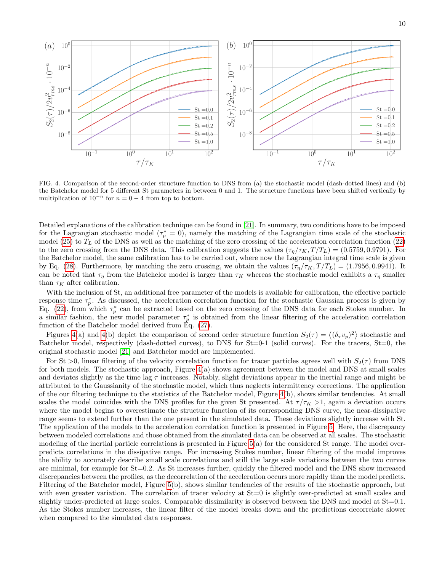



<span id="page-9-0"></span>FIG. 4. Comparison of the second-order structure function to DNS from (a) the stochastic model (dash-dotted lines) and (b) the Batchelor model for 5 different St parameters in between 0 and 1. The structure functions have been shifted vertically by multiplication of  $10^{-n}$  for  $n = 0 - 4$  from top to bottom.

Detailed explanations of the calibration technique can be found in [\[21\]](#page-12-17). In summary, two conditions have to be imposed for the Lagrangian stochastic model ( $\tau_p^* = 0$ ), namely the matching of the Lagrangian time scale of the stochastic model [\(25\)](#page-7-2) to  $T<sub>L</sub>$  of the DNS as well as the matching of the zero crossing of the acceleration correlation function [\(22\)](#page-7-3) to the zero crossing from the DNS data. This calibration suggests the values  $(\tau_{\eta}/\tau_K, T/T_L) = (0.5759, 0.9791)$ . For the Batchelor model, the same calibration has to be carried out, where now the Lagrangian integral time scale is given by Eq. [\(28\)](#page-8-3). Furthermore, by matching the zero crossing, we obtain the values  $(\tau_{\eta}/\tau_K, T/T_L) = (1.7956, 0.9941)$ . It can be noted that  $\tau_{\eta}$  from the Batchelor model is larger than  $\tau_K$  whereas the stochastic model exhibits a  $\tau_{\eta}$  smaller than  $\tau_K$  after calibration.

With the inclusion of St, an additional free parameter of the models is available for calibration, the effective particle response time  $\tau_p^*$ . As discussed, the acceleration correlation function for the stochastic Gaussian process is given by Eq. [\(22\)](#page-7-3), from which  $\tau_p^*$  can be extracted based on the zero crossing of the DNS data for each Stokes number. In a similar fashion, the new model parameter  $\tau_p^*$  is obtained from the linear filtering of the acceleration correlation function of the Batchelor model derived from Eq. [\(27\)](#page-8-4).

Figures [4\(](#page-9-0)a) and 4(b) depict the comparison of second order structure function  $S_2(\tau) = \langle (\delta_\tau v_p)^2 \rangle$  stochastic and Batchelor model, respectively (dash-dotted curves), to DNS for  $St=0-1$  (solid curves). For the tracers,  $St=0$ , the original stochastic model [\[21\]](#page-12-17) and Batchelor model are implemented.

For St  $>0$ , linear filtering of the velocity correlation function for tracer particles agrees well with  $S_2(\tau)$  from DNS for both models. The stochastic approach, Figure [4\(](#page-9-0)a) shows agreement between the model and DNS at small scales and deviates slightly as the time lag  $\tau$  increases. Notably, slight deviations appear in the inertial range and might be attributed to the Gaussianity of the stochastic model, which thus neglects intermittency corrections. The application of the our filtering technique to the statistics of the Batchelor model, Figure [4\(](#page-9-0)b), shows similar tendencies. At small scales the model coincides with the DNS profiles for the given St presented. At  $\tau/\tau_K > 1$ , again a deviation occurs where the model begins to overestimate the structure function of its corresponding DNS curve, the near-dissipative range seems to extend further than the one present in the simulated data. These deviations slightly increase with St. The application of the models to the acceleration correlation function is presented in Figure [5.](#page-10-0) Here, the discrepancy between modeled correlations and those obtained from the simulated data can be observed at all scales. The stochastic modeling of the inertial particle correlations is presented in Figure [5\(](#page-10-0)a) for the considered St range. The model overpredicts correlations in the dissipative range. For increasing Stokes number, linear filtering of the model improves the ability to accurately describe small scale correlations and still the large scale variations between the two curves are minimal, for example for St=0.2. As St increases further, quickly the filtered model and the DNS show increased discrepancies between the profiles, as the decorrelation of the acceleration occurs more rapidly than the model predicts. Filtering of the Batchelor model, Figure [5\(](#page-10-0)b), shows similar tendencies of the results of the stochastic approach, but with even greater variation. The correlation of tracer velocity at  $St=0$  is slightly over-predicted at small scales and slightly under-predicted at large scales. Comparable dissimilarity is observed between the DNS and model at St=0.1. As the Stokes number increases, the linear filter of the model breaks down and the predictions decorrelate slower when compared to the simulated data responses.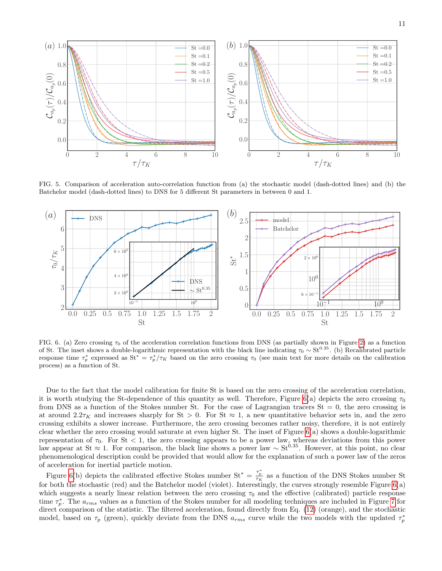

<span id="page-10-0"></span>FIG. 5. Comparison of acceleration auto-correlation function from (a) the stochastic model (dash-dotted lines) and (b) the Batchelor model (dash-dotted lines) to DNS for 5 different St parameters in between 0 and 1.



<span id="page-10-1"></span>FIG. 6. (a) Zero crossing  $\tau_0$  of the acceleration correlation functions from DNS (as partially shown in Figure [2\)](#page-5-1) as a function of St. The inset shows a double-logarithmic representation with the black line indicating  $\tau_0 \sim St^{0.35}$ . (b) Recalibrated particle response time  $\tau_p^*$  expressed as  $St^* = \tau_p^*/\tau_K$  based on the zero crossing  $\tau_0$  (see main text for more details on the calibration process) as a function of St.

Due to the fact that the model calibration for finite St is based on the zero crossing of the acceleration correlation, it is worth studying the St-dependence of this quantity as well. Therefore, Figure [6\(](#page-10-1)a) depicts the zero crossing  $\tau_0$ from DNS as a function of the Stokes number St. For the case of Lagrangian tracers  $St = 0$ , the zero crossing is at around  $2.2\tau_K$  and increases sharply for St > 0. For St  $\approx$  1, a new quantitative behavior sets in, and the zero crossing exhibits a slower increase. Furthermore, the zero crossing becomes rather noisy, therefore, it is not entirely clear whether the zero crossing would saturate at even higher St. The inset of Figure [6\(](#page-10-1)a) shows a double-logarithmic representation of  $\tau_0$ . For St < 1, the zero crossing appears to be a power law, whereas deviations from this power law appear at St ≈ 1. For comparison, the black line shows a power law  $\sim$  St<sup>0.35</sup>. However, at this point, no clear phenomenological description could be provided that would allow for the explanation of such a power law of the zeros of acceleration for inertial particle motion.

Figure [6\(](#page-10-1)b) depicts the calibrated effective Stokes number  $St^* = \frac{\tau_p^*}{\tau_K}$  as a function of the DNS Stokes number St for both the stochastic (red) and the Batchelor model (violet). Interestingly, the curves strongly resemble Figure [6\(](#page-10-1)a) which suggests a nearly linear relation between the zero crossing  $\tau_0$  and the effective (calibrated) particle response time  $\tau_p^*$ . The  $a_{rms}$  values as a function of the Stokes number for all modeling techniques are included in Figure [7](#page-11-1) for direct comparison of the statistic. The filtered acceleration, found directly from Eq. [\(12\)](#page-3-2) (orange), and the stochastic model, based on  $\tau_p$  (green), quickly deviate from the DNS  $a_{rms}$  curve while the two models with the updated  $\tau_p^*$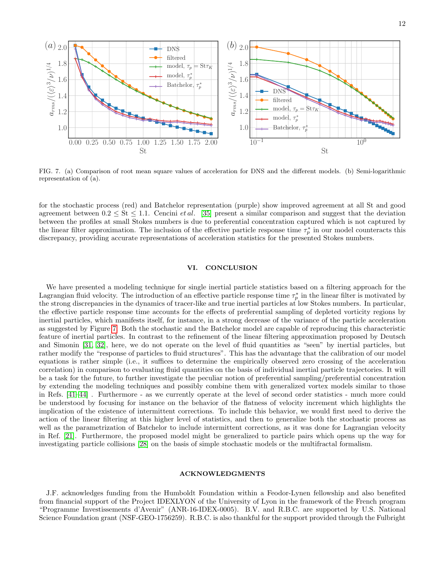

<span id="page-11-1"></span>FIG. 7. (a) Comparison of root mean square values of acceleration for DNS and the different models. (b) Semi-logarithmic representation of (a).

for the stochastic process (red) and Batchelor representation (purple) show improved agreement at all St and good agreement between  $0.2 \leq$  St  $\leq$  1.1. Cencini *et al.* [\[35\]](#page-12-29) present a similar comparison and suggest that the deviation between the profiles at small Stokes numbers is due to preferential concentration captured which is not captured by the linear filter approximation. The inclusion of the effective particle response time  $\tau_p^*$  in our model counteracts this discrepancy, providing accurate representations of acceleration statistics for the presented Stokes numbers.

### <span id="page-11-0"></span>VI. CONCLUSION

We have presented a modeling technique for single inertial particle statistics based on a filtering approach for the Lagrangian fluid velocity. The introduction of an effective particle response time  $\tau_p^*$  in the linear filter is motivated by the strong discrepancies in the dynamics of tracer-like and true inertial particles at low Stokes numbers. In particular, the effective particle response time accounts for the effects of preferential sampling of depleted vorticity regions by inertial particles, which manifests itself, for instance, in a strong decrease of the variance of the particle acceleration as suggested by Figure [7.](#page-11-1) Both the stochastic and the Batchelor model are capable of reproducing this characteristic feature of inertial particles. In contrast to the refinement of the linear filtering approximation proposed by Deutsch and Simonin [\[31,](#page-12-25) [32\]](#page-12-26), here, we do not operate on the level of fluid quantities as "seen" by inertial particles, but rather modify the "response of particles to fluid structures". This has the advantage that the calibration of our model equations is rather simple (i.e., it suffices to determine the empirically observed zero crossing of the acceleration correlation) in comparison to evaluating fluid quantities on the basis of individual inertial particle trajectories. It will be a task for the future, to further investigate the peculiar notion of preferential sampling/preferential concentration by extending the modeling techniques and possibly combine them with generalized vortex models similar to those in Refs. [\[41–](#page-13-5)[44\]](#page-13-6) . Furthermore - as we currently operate at the level of second order statistics - much more could be understood by focusing for instance on the behavior of the flatness of velocity increment which highlights the implication of the existence of intermittent corrections. To include this behavior, we would first need to derive the action of the linear filtering at this higher level of statistics, and then to generalize both the stochastic process as well as the parametrization of Batchelor to include intermittent corrections, as it was done for Lagrangian velocity in Ref. [\[21\]](#page-12-17). Furthermore, the proposed model might be generalized to particle pairs which opens up the way for investigating particle collisions [\[28\]](#page-12-22) on the basis of simple stochastic models or the multifractal formalism.

### ACKNOWLEDGMENTS

J.F. acknowledges funding from the Humboldt Foundation within a Feodor-Lynen fellowship and also benefited from financial support of the Project IDEXLYON of the University of Lyon in the framework of the French program "Programme Investissements d'Avenir" (ANR-16-IDEX-0005). B.V. and R.B.C. are supported by U.S. National Science Foundation grant (NSF-GEO-1756259). R.B.C. is also thankful for the support provided through the Fulbright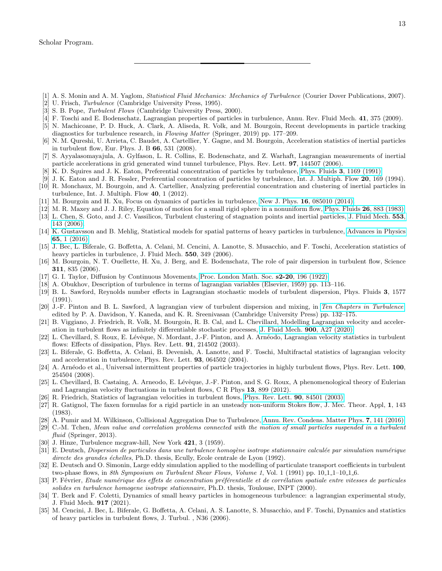- <span id="page-12-0"></span>[1] A. S. Monin and A. M. Yaglom, Statistical Fluid Mechanics: Mechanics of Turbulence (Courier Dover Publications, 2007).
- [2] U. Frisch, Turbulence (Cambridge University Press, 1995).
- <span id="page-12-1"></span>[3] S. B. Pope, *Turbulent Flows* (Cambridge University Press, 2000).
- <span id="page-12-2"></span>[4] F. Toschi and E. Bodenschatz, Lagrangian properties of particles in turbulence, Annu. Rev. Fluid Mech. 41, 375 (2009).
- <span id="page-12-3"></span>[5] N. Machicoane, P. D. Huck, A. Clark, A. Aliseda, R. Volk, and M. Bourgoin, Recent developments in particle tracking diagnostics for turbulence research, in Flowing Matter (Springer, 2019) pp. 177–209.
- <span id="page-12-4"></span>[6] N. M. Qureshi, U. Arrieta, C. Baudet, A. Cartellier, Y. Gagne, and M. Bourgoin, Acceleration statistics of inertial particles in turbulent flow, Eur. Phys. J. B 66, 531 (2008).
- <span id="page-12-5"></span>[7] S. Ayyalasomayajula, A. Gylfason, L. R. Collins, E. Bodenschatz, and Z. Warhaft, Lagrangian measurements of inertial particle accelerations in grid generated wind tunnel turbulence, Phys. Rev. Lett. 97, 144507 (2006).
- <span id="page-12-6"></span>[8] K. D. Squires and J. K. Eaton, Preferential concentration of particles by turbulence, Phys. Fluids 3[, 1169 \(1991\).](https://doi.org/10.1063/1.858045)
- [9] J. K. Eaton and J. R. Fessler, Preferential concentration of particles by turbulence, Int. J. Multiph. Flow 20, 169 (1994).
- [10] R. Monchaux, M. Bourgoin, and A. Cartellier, Analyzing preferential concentration and clustering of inertial particles in turbulence, Int. J. Multiph. Flow 40, 1 (2012).
- <span id="page-12-7"></span>[11] M. Bourgoin and H. Xu, Focus on dynamics of particles in turbulence, New J. Phys. **16**[, 085010 \(2014\).](https://doi.org/10.1088/1367-2630/16/8/085010)
- <span id="page-12-8"></span>[12] M. R. Maxey and J. J. Riley, Equation of motion for a small rigid sphere in a nonuniform flow, [Phys. Fluids](https://doi.org/10.1063/1.864230) 26, 883 (1983).
- <span id="page-12-9"></span>[13] L. Chen, S. Goto, and J. C. Vassilicos, Turbulent clustering of stagnation points and inertial particles, [J. Fluid Mech.](https://doi.org/10.1017/S0022112006009177) 553, [143 \(2006\).](https://doi.org/10.1017/S0022112006009177)
- <span id="page-12-10"></span>[14] K. Gustavsson and B. Mehlig, Statistical models for spatial patterns of heavy particles in turbulence, [Advances in Physics](https://doi.org/10.1080/00018732.2016.1164490) 65[, 1 \(2016\).](https://doi.org/10.1080/00018732.2016.1164490)
- <span id="page-12-11"></span>[15] J. Bec, L. Biferale, G. Boffetta, A. Celani, M. Cencini, A. Lanotte, S. Musacchio, and F. Toschi, Acceleration statistics of heavy particles in turbulence, J. Fluid Mech. **550**, 349 (2006).
- <span id="page-12-12"></span>[16] M. Bourgoin, N. T. Ouellette, H. Xu, J. Berg, and E. Bodenschatz, The role of pair dispersion in turbulent flow, Science 311, 835 (2006).
- <span id="page-12-13"></span>[17] G. I. Taylor, Diffusion by Continuous Movements, [Proc. London Math. Soc.](https://doi.org/10.1112/plms/s2-20.1.196) s2-20, 196 (1922).
- <span id="page-12-14"></span>[18] A. Obukhov, Description of turbulence in terms of lagrangian variables (Elsevier, 1959) pp. 113–116.
- <span id="page-12-15"></span>[19] B. L. Sawford, Reynolds number effects in Lagrangian stochastic models of turbulent dispersion, Phys. Fluids 3, 1577 (1991).
- <span id="page-12-16"></span>[20] J.-F. Pinton and B. L. Sawford, A lagrangian view of turbulent dispersion and mixing, in [Ten Chapters in Turbulence](https://doi.org/10.1017/cbo9781139032810.005), edited by P. A. Davidson, Y. Kaneda, and K. R. Sreenivasan (Cambridge University Press) pp. 132–175.
- <span id="page-12-17"></span>[21] B. Viggiano, J. Friedrich, R. Volk, M. Bourgoin, R. B. Cal, and L. Chevillard, Modelling Lagrangian velocity and acceleration in turbulent flows as infinitely differentiable stochastic processes, [J. Fluid Mech.](https://doi.org/10.1017/jfm.2020.495) 900, A27 (2020).
- <span id="page-12-18"></span>[22] L. Chevillard, S. Roux, E. Lévêque, N. Mordant, J.-F. Pinton, and A. Arnéodo, Lagrangian velocity statistics in turbulent flows: Effects of dissipation, Phys. Rev. Lett. **91**, 214502 (2003).
- [23] L. Biferale, G. Boffetta, A. Celani, B. Devenish, A. Lanotte, and F. Toschi, Multifractal statistics of lagrangian velocity and acceleration in turbulence, Phys. Rev. Lett. 93, 064502 (2004).
- <span id="page-12-30"></span>[24] A. Arnéodo et al., Universal intermittent properties of particle trajectories in highly turbulent flows, Phys. Rev. Lett. 100, 254504 (2008).
- <span id="page-12-19"></span>[25] L. Chevillard, B. Castaing, A. Arneodo, E. Lévêque, J.-F. Pinton, and S. G. Roux, A phenomenological theory of Eulerian and Lagrangian velocity fluctuations in turbulent flows, C R Phys 13, 899 (2012).
- <span id="page-12-20"></span>[26] R. Friedrich, Statistics of lagrangian velocities in turbulent flows, [Phys. Rev. Lett.](https://doi.org/10.1103/PhysRevLett.90.084501) 90, 84501 (2003).
- <span id="page-12-21"></span>[27] R. Gatignol, The faxen formulas for a rigid particle in an unsteady non-uniform Stokes flow, J. Mec. Theor. Appl, 1, 143 (1983).
- <span id="page-12-22"></span>[28] A. Pumir and M. Wilkinson, Collisional Aggregation Due to Turbulence, [Annu. Rev. Condens. Matter Phys.](https://doi.org/10.1146/annurev-conmatphys-031115-011538) 7, 141 (2016).
- <span id="page-12-23"></span>[29] C.-M. Tchen, Mean value and correlation problems connected with the motion of small particles suspended in a turbulent fluid (Springer, 2013).
- <span id="page-12-24"></span>[30] J. Hinze, Turbulence mcgraw-hill, New York 421, 3 (1959).
- <span id="page-12-25"></span>[31] E. Deutsch, Dispersion de particules dans une turbulence homogène isotrope stationnaire calculée par simulation numérique directe des grandes échelles, Ph.D. thesis, Ecully, Ecole centrale de Lyon (1992).
- <span id="page-12-26"></span>[32] E. Deutsch and O. Simonin, Large eddy simulation applied to the modelling of particulate transport coefficients in turbulent two-phase flows, in 8th Symposium on Turbulent Shear Flows, Volume 1, Vol. 1 (1991) pp. 10.1.1–10.1.6.
- <span id="page-12-27"></span>[33] P. Février, Etude numérique des effets de concentration préférentielle et de corrélation spatiale entre vitesses de particules solides en turbulence homogene isotrope stationnaire, Ph.D. thesis, Toulouse, INPT (2000).
- <span id="page-12-28"></span>[34] T. Berk and F. Coletti, Dynamics of small heavy particles in homogeneous turbulence: a lagrangian experimental study, J. Fluid Mech. 917 (2021).
- <span id="page-12-29"></span>[35] M. Cencini, J. Bec, L. Biferale, G. Boffetta, A. Celani, A. S. Lanotte, S. Musacchio, and F. Toschi, Dynamics and statistics of heavy particles in turbulent flows, J. Turbul. , N36 (2006).